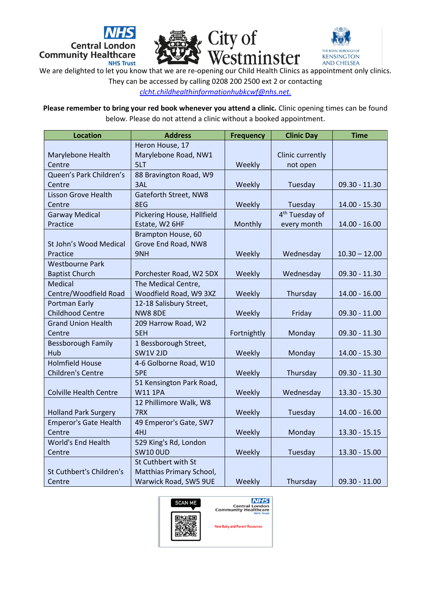





We are delighted to let you know that we are re-opening our Child Health Clinics as appointment only clinics.

They can be accessed by calling 0208 200 2500 ext 2 or contacting

*[clcht.childhealthinformationhubkcwf@nhs.net.](mailto:clcht.childhealthinformationhubkcwf@nhs.net)*

**Please remember to bring your red book whenever you attend a clinic.** Clinic opening times can be found below. Please do not attend a clinic without a booked appointment.

| <b>Location</b>               | <b>Address</b>             | <b>Frequency</b> | <b>Clinic Day</b>          | <b>Time</b>     |
|-------------------------------|----------------------------|------------------|----------------------------|-----------------|
|                               | Heron House, 17            |                  |                            |                 |
| Marylebone Health             | Marylebone Road, NW1       |                  | Clinic currently           |                 |
| Centre                        | 5LT                        | Weekly           | not open                   |                 |
| Queen's Park Children's       | 88 Bravington Road, W9     |                  |                            |                 |
| Centre                        | 3AL                        | Weekly           | Tuesday                    | $09.30 - 11.30$ |
| <b>Lisson Grove Health</b>    | Gateforth Street, NW8      |                  |                            |                 |
| Centre                        | 8EG                        | Weekly           | Tuesday                    | 14.00 - 15.30   |
| <b>Garway Medical</b>         | Pickering House, Hallfield |                  | 4 <sup>th</sup> Tuesday of |                 |
| Practice                      | Estate, W2 6HF             | Monthly          | every month                | $14.00 - 16.00$ |
|                               | Brampton House, 60         |                  |                            |                 |
| St John's Wood Medical        | Grove End Road, NW8        |                  |                            |                 |
| Practice                      | 9NH                        | Weekly           | Wednesday                  | $10.30 - 12.00$ |
| <b>Westbourne Park</b>        |                            |                  |                            |                 |
| <b>Baptist Church</b>         | Porchester Road, W2 5DX    | Weekly           | Wednesday                  | $09.30 - 11.30$ |
| Medical                       | The Medical Centre,        |                  |                            |                 |
| Centre/Woodfield Road         | Woodfield Road, W9 3XZ     | Weekly           | Thursday                   | $14.00 - 16.00$ |
| <b>Portman Early</b>          | 12-18 Salisbury Street,    |                  |                            |                 |
| <b>Childhood Centre</b>       | <b>NW8 8DE</b>             | Weekly           | Friday                     | $09.30 - 11.00$ |
| <b>Grand Union Health</b>     | 209 Harrow Road, W2        |                  |                            |                 |
| Centre                        | 5EH                        | Fortnightly      | Monday                     | $09.30 - 11.30$ |
| <b>Bessborough Family</b>     | 1 Bessborough Street,      |                  |                            |                 |
| Hub                           | <b>SW1V 2JD</b>            | Weekly           | Monday                     | 14.00 - 15.30   |
| <b>Holmfield House</b>        | 4-6 Golborne Road, W10     |                  |                            |                 |
| <b>Children's Centre</b>      | 5PE                        | Weekly           | Thursday                   | $09.30 - 11.30$ |
|                               | 51 Kensington Park Road,   |                  |                            |                 |
| <b>Colville Health Centre</b> | <b>W11 1PA</b>             | Weekly           | Wednesday                  | 13.30 - 15.30   |
|                               | 12 Phillimore Walk, W8     |                  |                            |                 |
| <b>Holland Park Surgery</b>   | 7RX                        | Weekly           | Tuesday                    | $14.00 - 16.00$ |
| <b>Emperor's Gate Health</b>  | 49 Emperor's Gate, SW7     |                  |                            |                 |
| Centre                        | 4HJ                        | Weekly           | Monday                     | $13.30 - 15.15$ |
| <b>World's End Health</b>     | 529 King's Rd, London      |                  |                            |                 |
| Centre                        | <b>SW10 OUD</b>            | Weekly           | Tuesday                    | 13.30 - 15.00   |
|                               | St Cuthbert with St        |                  |                            |                 |
| St Cuthbert's Children's      | Matthias Primary School,   |                  |                            |                 |
| Centre                        | Warwick Road, SW5 9UE      | Weekly           | Thursday                   | $09.30 - 11.00$ |



**NHS** Central London<br>Community Healthcare

New Baby and Parent Resources